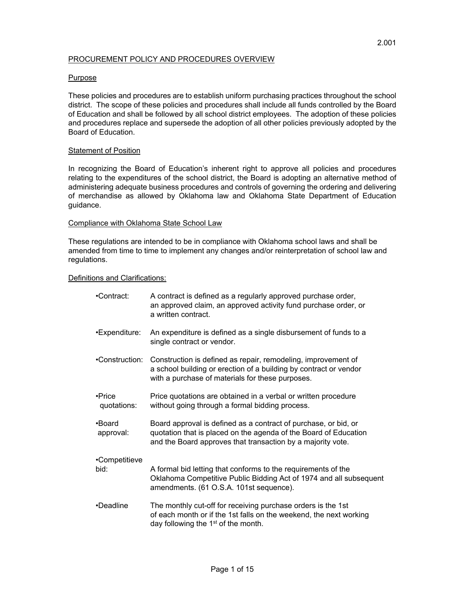## PROCUREMENT POLICY AND PROCEDURES OVERVIEW

## Purpose

These policies and procedures are to establish uniform purchasing practices throughout the school district. The scope of these policies and procedures shall include all funds controlled by the Board of Education and shall be followed by all school district employees. The adoption of these policies and procedures replace and supersede the adoption of all other policies previously adopted by the Board of Education.

## Statement of Position

In recognizing the Board of Education's inherent right to approve all policies and procedures relating to the expenditures of the school district, the Board is adopting an alternative method of administering adequate business procedures and controls of governing the ordering and delivering of merchandise as allowed by Oklahoma law and Oklahoma State Department of Education guidance.

### Compliance with Oklahoma State School Law

These regulations are intended to be in compliance with Oklahoma school laws and shall be amended from time to time to implement any changes and/or reinterpretation of school law and regulations.

### Definitions and Clarifications:

| •Contract:            | A contract is defined as a regularly approved purchase order,<br>an approved claim, an approved activity fund purchase order, or<br>a written contract.                                            |
|-----------------------|----------------------------------------------------------------------------------------------------------------------------------------------------------------------------------------------------|
| •Expenditure:         | An expenditure is defined as a single disbursement of funds to a<br>single contract or vendor.                                                                                                     |
| •Construction:        | Construction is defined as repair, remodeling, improvement of<br>a school building or erection of a building by contract or vendor<br>with a purchase of materials for these purposes.             |
| •Price<br>quotations: | Price quotations are obtained in a verbal or written procedure<br>without going through a formal bidding process.                                                                                  |
| •Board<br>approval:   | Board approval is defined as a contract of purchase, or bid, or<br>quotation that is placed on the agenda of the Board of Education<br>and the Board approves that transaction by a majority vote. |
| •Competitieve<br>bid: | A formal bid letting that conforms to the requirements of the<br>Oklahoma Competitive Public Bidding Act of 1974 and all subsequent<br>amendments. (61 O.S.A. 101st sequence).                     |
| •Deadline             | The monthly cut-off for receiving purchase orders is the 1st<br>of each month or if the 1st falls on the weekend, the next working<br>day following the $1st$ of the month.                        |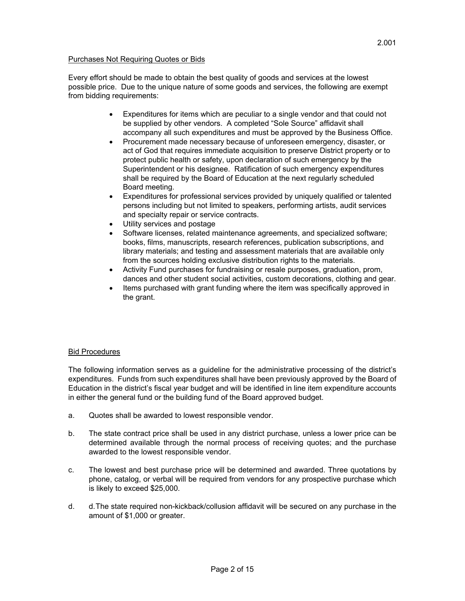# Purchases Not Requiring Quotes or Bids

Every effort should be made to obtain the best quality of goods and services at the lowest possible price. Due to the unique nature of some goods and services, the following are exempt from bidding requirements:

- Expenditures for items which are peculiar to a single vendor and that could not be supplied by other vendors. A completed "Sole Source" affidavit shall accompany all such expenditures and must be approved by the Business Office.
- Procurement made necessary because of unforeseen emergency, disaster, or act of God that requires immediate acquisition to preserve District property or to protect public health or safety, upon declaration of such emergency by the Superintendent or his designee. Ratification of such emergency expenditures shall be required by the Board of Education at the next regularly scheduled Board meeting.
- Expenditures for professional services provided by uniquely qualified or talented persons including but not limited to speakers, performing artists, audit services and specialty repair or service contracts.
- Utility services and postage
- Software licenses, related maintenance agreements, and specialized software; books, films, manuscripts, research references, publication subscriptions, and library materials; and testing and assessment materials that are available only from the sources holding exclusive distribution rights to the materials.
- Activity Fund purchases for fundraising or resale purposes, graduation, prom, dances and other student social activities, custom decorations, clothing and gear.
- Items purchased with grant funding where the item was specifically approved in the grant.

# Bid Procedures

The following information serves as a guideline for the administrative processing of the district's expenditures. Funds from such expenditures shall have been previously approved by the Board of Education in the district's fiscal year budget and will be identified in line item expenditure accounts in either the general fund or the building fund of the Board approved budget.

- a. Quotes shall be awarded to lowest responsible vendor.
- b. The state contract price shall be used in any district purchase, unless a lower price can be determined available through the normal process of receiving quotes; and the purchase awarded to the lowest responsible vendor.
- c. The lowest and best purchase price will be determined and awarded. Three quotations by phone, catalog, or verbal will be required from vendors for any prospective purchase which is likely to exceed \$25,000.
- d. d. The state required non-kickback/collusion affidavit will be secured on any purchase in the amount of \$1,000 or greater.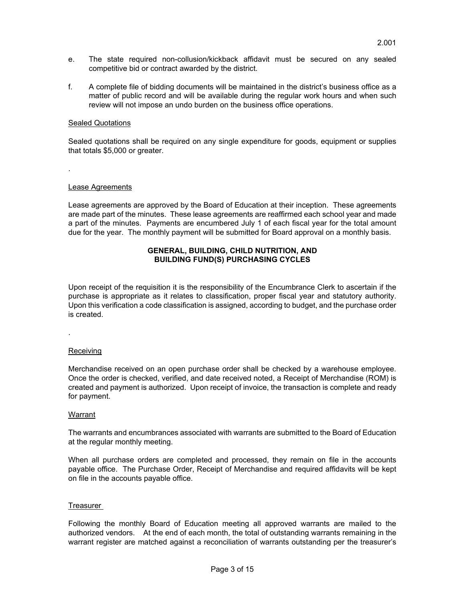- e. The state required non-collusion/kickback affidavit must be secured on any sealed competitive bid or contract awarded by the district.
- f. A complete file of bidding documents will be maintained in the district's business office as a matter of public record and will be available during the regular work hours and when such review will not impose an undo burden on the business office operations.

## Sealed Quotations

Sealed quotations shall be required on any single expenditure for goods, equipment or supplies that totals \$5,000 or greater.

# Lease Agreements

.

Lease agreements are approved by the Board of Education at their inception. These agreements are made part of the minutes. These lease agreements are reaffirmed each school year and made a part of the minutes. Payments are encumbered July 1 of each fiscal year for the total amount due for the year. The monthly payment will be submitted for Board approval on a monthly basis.

## **GENERAL, BUILDING, CHILD NUTRITION, AND BUILDING FUND(S) PURCHASING CYCLES**

Upon receipt of the requisition it is the responsibility of the Encumbrance Clerk to ascertain if the purchase is appropriate as it relates to classification, proper fiscal year and statutory authority. Upon this verification a code classification is assigned, according to budget, and the purchase order is created.

Receiving

.

Merchandise received on an open purchase order shall be checked by a warehouse employee. Once the order is checked, verified, and date received noted, a Receipt of Merchandise (ROM) is created and payment is authorized. Upon receipt of invoice, the transaction is complete and ready for payment.

## **Warrant**

The warrants and encumbrances associated with warrants are submitted to the Board of Education at the regular monthly meeting.

When all purchase orders are completed and processed, they remain on file in the accounts payable office. The Purchase Order, Receipt of Merchandise and required affidavits will be kept on file in the accounts payable office.

## Treasurer

Following the monthly Board of Education meeting all approved warrants are mailed to the authorized vendors. At the end of each month, the total of outstanding warrants remaining in the warrant register are matched against a reconciliation of warrants outstanding per the treasurer's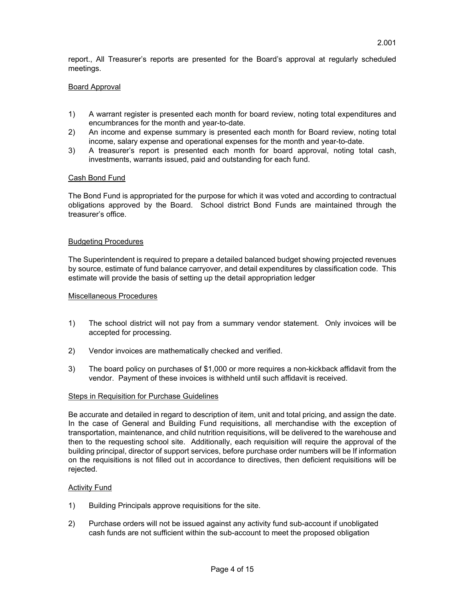report., All Treasurer's reports are presented for the Board's approval at regularly scheduled meetings.

# Board Approval

- 1) A warrant register is presented each month for board review, noting total expenditures and encumbrances for the month and year-to-date.
- 2) An income and expense summary is presented each month for Board review, noting total income, salary expense and operational expenses for the month and year-to-date.
- 3) A treasurer's report is presented each month for board approval, noting total cash, investments, warrants issued, paid and outstanding for each fund.

## Cash Bond Fund

The Bond Fund is appropriated for the purpose for which it was voted and according to contractual obligations approved by the Board. School district Bond Funds are maintained through the treasurer's office.

## Budgeting Procedures

The Superintendent is required to prepare a detailed balanced budget showing projected revenues by source, estimate of fund balance carryover, and detail expenditures by classification code. This estimate will provide the basis of setting up the detail appropriation ledger

## Miscellaneous Procedures

- 1) The school district will not pay from a summary vendor statement. Only invoices will be accepted for processing.
- 2) Vendor invoices are mathematically checked and verified.
- 3) The board policy on purchases of \$1,000 or more requires a non-kickback affidavit from the vendor. Payment of these invoices is withheld until such affidavit is received.

## Steps in Requisition for Purchase Guidelines

Be accurate and detailed in regard to description of item, unit and total pricing, and assign the date. In the case of General and Building Fund requisitions, all merchandise with the exception of transportation, maintenance, and child nutrition requisitions, will be delivered to the warehouse and then to the requesting school site. Additionally, each requisition will require the approval of the building principal, director of support services, before purchase order numbers will be If information on the requisitions is not filled out in accordance to directives, then deficient requisitions will be rejected.

## **Activity Fund**

- 1) Building Principals approve requisitions for the site.
- 2) Purchase orders will not be issued against any activity fund sub-account if unobligated cash funds are not sufficient within the sub-account to meet the proposed obligation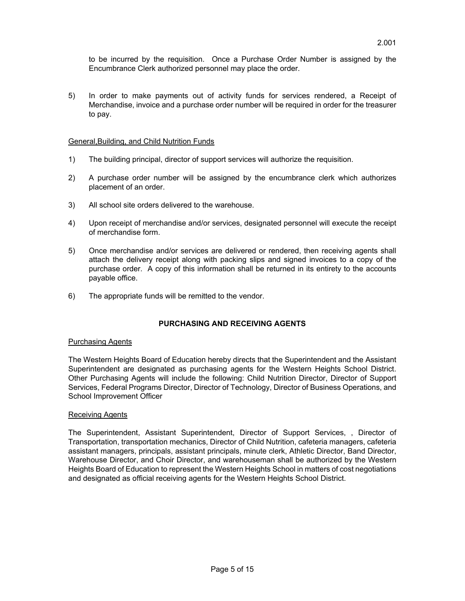to be incurred by the requisition. Once a Purchase Order Number is assigned by the Encumbrance Clerk authorized personnel may place the order.

5) In order to make payments out of activity funds for services rendered, a Receipt of Merchandise, invoice and a purchase order number will be required in order for the treasurer to pay.

# General,Building, and Child Nutrition Funds

- 1) The building principal, director of support services will authorize the requisition.
- 2) A purchase order number will be assigned by the encumbrance clerk which authorizes placement of an order.
- 3) All school site orders delivered to the warehouse.
- 4) Upon receipt of merchandise and/or services, designated personnel will execute the receipt of merchandise form.
- 5) Once merchandise and/or services are delivered or rendered, then receiving agents shall attach the delivery receipt along with packing slips and signed invoices to a copy of the purchase order. A copy of this information shall be returned in its entirety to the accounts payable office.
- 6) The appropriate funds will be remitted to the vendor.

# **PURCHASING AND RECEIVING AGENTS**

## Purchasing Agents

The Western Heights Board of Education hereby directs that the Superintendent and the Assistant Superintendent are designated as purchasing agents for the Western Heights School District. Other Purchasing Agents will include the following: Child Nutrition Director, Director of Support Services, Federal Programs Director, Director of Technology, Director of Business Operations, and School Improvement Officer

## Receiving Agents

The Superintendent, Assistant Superintendent, Director of Support Services, , Director of Transportation, transportation mechanics, Director of Child Nutrition, cafeteria managers, cafeteria assistant managers, principals, assistant principals, minute clerk, Athletic Director, Band Director, Warehouse Director, and Choir Director, and warehouseman shall be authorized by the Western Heights Board of Education to represent the Western Heights School in matters of cost negotiations and designated as official receiving agents for the Western Heights School District.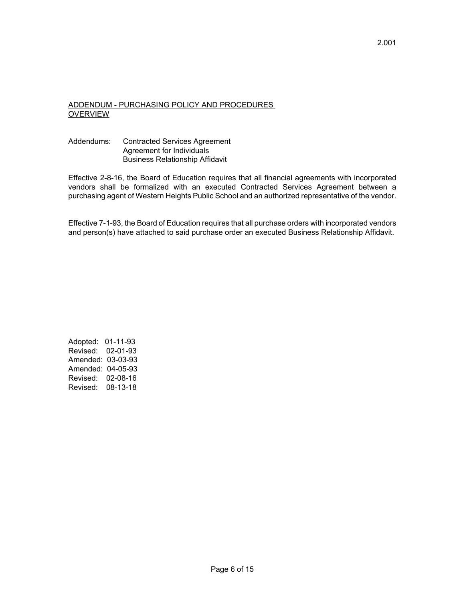# ADDENDUM - PURCHASING POLICY AND PROCEDURES **OVERVIEW**

# Addendums: Contracted Services Agreement Agreement for Individuals Business Relationship Affidavit

Effective 2-8-16, the Board of Education requires that all financial agreements with incorporated vendors shall be formalized with an executed Contracted Services Agreement between a purchasing agent of Western Heights Public School and an authorized representative of the vendor.

Effective 7-1-93, the Board of Education requires that all purchase orders with incorporated vendors and person(s) have attached to said purchase order an executed Business Relationship Affidavit.

Adopted: 01-11-93 Revised: 02-01-93 Amended: 03-03-93 Amended: 04-05-93 Revised: 02-08-16 Revised: 08-13-18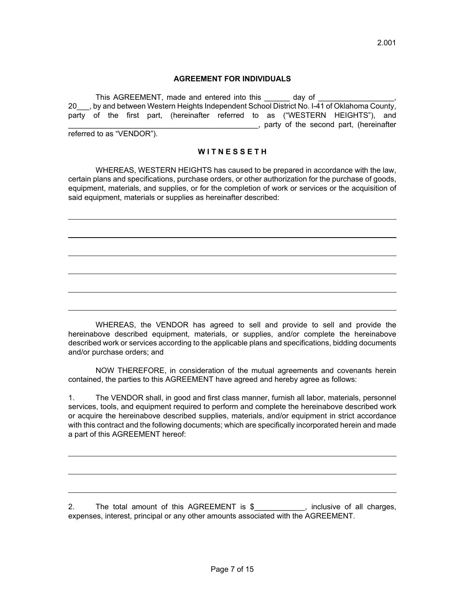## **AGREEMENT FOR INDIVIDUALS**

This AGREEMENT, made and entered into this day of 20\_\_\_, by and between Western Heights Independent School District No. I-41 of Oklahoma County, party of the first part, (hereinafter referred to as ("WESTERN HEIGHTS"), and \_\_\_\_\_\_\_\_\_\_\_\_\_\_\_\_\_\_\_\_\_\_\_\_\_\_\_\_\_\_\_\_\_\_\_\_\_\_\_\_\_\_\_\_\_, party of the second part, (hereinafter referred to as "VENDOR").

**W I T N E S S E T H**

 WHEREAS, WESTERN HEIGHTS has caused to be prepared in accordance with the law, certain plans and specifications, purchase orders, or other authorization for the purchase of goods, equipment, materials, and supplies, or for the completion of work or services or the acquisition of said equipment, materials or supplies as hereinafter described:

 $\overline{a}$ 

 WHEREAS, the VENDOR has agreed to sell and provide to sell and provide the hereinabove described equipment, materials, or supplies, and/or complete the hereinabove described work or services according to the applicable plans and specifications, bidding documents and/or purchase orders; and

 NOW THEREFORE, in consideration of the mutual agreements and covenants herein contained, the parties to this AGREEMENT have agreed and hereby agree as follows:

1. The VENDOR shall, in good and first class manner, furnish all labor, materials, personnel services, tools, and equipment required to perform and complete the hereinabove described work or acquire the hereinabove described supplies, materials, and/or equipment in strict accordance with this contract and the following documents; which are specifically incorporated herein and made a part of this AGREEMENT hereof:

2. The total amount of this AGREEMENT is \$\_\_\_\_\_\_\_\_, inclusive of all charges, expenses, interest, principal or any other amounts associated with the AGREEMENT.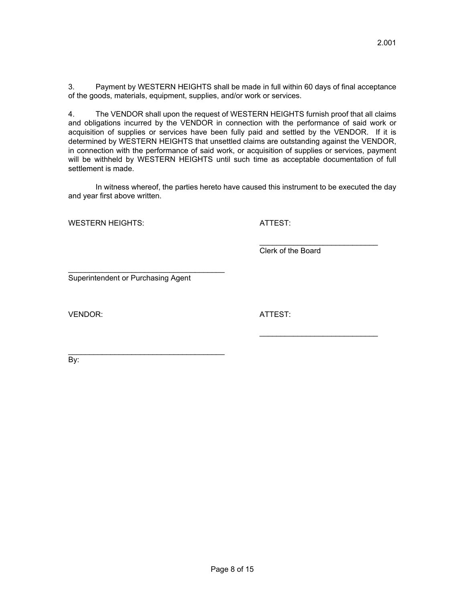3. Payment by WESTERN HEIGHTS shall be made in full within 60 days of final acceptance of the goods, materials, equipment, supplies, and/or work or services.

4. The VENDOR shall upon the request of WESTERN HEIGHTS furnish proof that all claims and obligations incurred by the VENDOR in connection with the performance of said work or acquisition of supplies or services have been fully paid and settled by the VENDOR. If it is determined by WESTERN HEIGHTS that unsettled claims are outstanding against the VENDOR, in connection with the performance of said work, or acquisition of supplies or services, payment will be withheld by WESTERN HEIGHTS until such time as acceptable documentation of full settlement is made.

 In witness whereof, the parties hereto have caused this instrument to be executed the day and year first above written.

 $\frac{1}{2}$  , and the contract of the contract of the contract of the contract of the contract of the contract of the contract of the contract of the contract of the contract of the contract of the contract of the contract

 $\frac{1}{2}$  , and the contract of the contract of the contract of the contract of the contract of the contract of the contract of the contract of the contract of the contract of the contract of the contract of the contract

WESTERN HEIGHTS: ATTEST:

Clerk of the Board

Superintendent or Purchasing Agent

\_\_\_\_\_\_\_\_\_\_\_\_\_\_\_\_\_\_\_\_\_\_\_\_\_\_\_\_\_\_\_\_\_\_\_\_\_

\_\_\_\_\_\_\_\_\_\_\_\_\_\_\_\_\_\_\_\_\_\_\_\_\_\_\_\_\_\_\_\_\_\_\_\_\_

VENDOR: ATTEST:

By: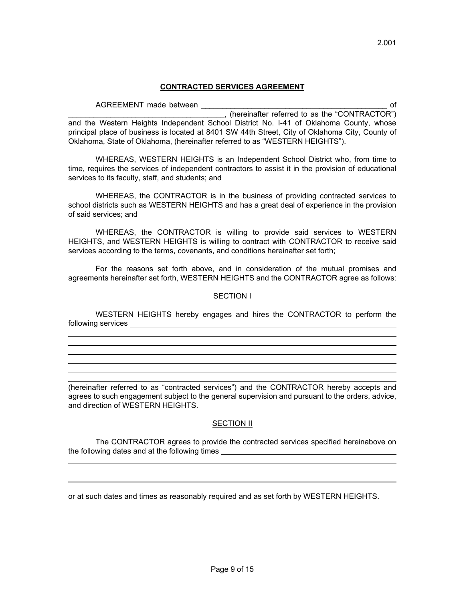## **CONTRACTED SERVICES AGREEMENT**

2.001

 AGREEMENT made between \_\_\_\_\_\_\_\_\_\_\_\_\_\_\_\_\_\_\_\_\_\_\_\_\_\_\_\_\_\_\_\_\_\_\_\_\_\_\_\_\_\_\_\_ of \_\_\_\_\_\_\_\_\_\_\_\_\_\_\_\_\_\_\_\_\_\_\_\_\_\_\_\_\_\_\_\_\_\_\_\_\_, (hereinafter referred to as the "CONTRACTOR") and the Western Heights Independent School District No. I-41 of Oklahoma County, whose principal place of business is located at 8401 SW 44th Street, City of Oklahoma City, County of Oklahoma, State of Oklahoma, (hereinafter referred to as "WESTERN HEIGHTS").

 WHEREAS, WESTERN HEIGHTS is an Independent School District who, from time to time, requires the services of independent contractors to assist it in the provision of educational services to its faculty, staff, and students; and

 WHEREAS, the CONTRACTOR is in the business of providing contracted services to school districts such as WESTERN HEIGHTS and has a great deal of experience in the provision of said services; and

 WHEREAS, the CONTRACTOR is willing to provide said services to WESTERN HEIGHTS, and WESTERN HEIGHTS is willing to contract with CONTRACTOR to receive said services according to the terms, covenants, and conditions hereinafter set forth;

 For the reasons set forth above, and in consideration of the mutual promises and agreements hereinafter set forth, WESTERN HEIGHTS and the CONTRACTOR agree as follows:

## SECTION I

 WESTERN HEIGHTS hereby engages and hires the CONTRACTOR to perform the following services **contained a service of the services** of the services of the service of the service of the service of the service of the service of the service of the service of the service of the service of the service

(hereinafter referred to as "contracted services") and the CONTRACTOR hereby accepts and agrees to such engagement subject to the general supervision and pursuant to the orders, advice, and direction of WESTERN HEIGHTS.

# SECTION II

 The CONTRACTOR agrees to provide the contracted services specified hereinabove on the following dates and at the following times

or at such dates and times as reasonably required and as set forth by WESTERN HEIGHTS.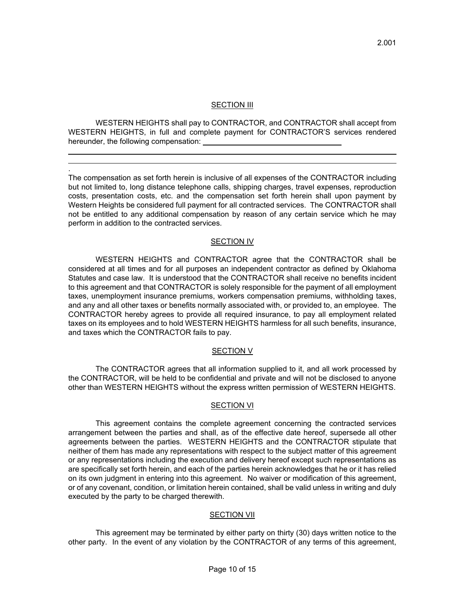# SECTION III

 WESTERN HEIGHTS shall pay to CONTRACTOR, and CONTRACTOR shall accept from WESTERN HEIGHTS, in full and complete payment for CONTRACTOR'S services rendered hereunder, the following compensation:

 .

The compensation as set forth herein is inclusive of all expenses of the CONTRACTOR including but not limited to, long distance telephone calls, shipping charges, travel expenses, reproduction costs, presentation costs, etc. and the compensation set forth herein shall upon payment by Western Heights be considered full payment for all contracted services. The CONTRACTOR shall not be entitled to any additional compensation by reason of any certain service which he may perform in addition to the contracted services.

# SECTION IV

 WESTERN HEIGHTS and CONTRACTOR agree that the CONTRACTOR shall be considered at all times and for all purposes an independent contractor as defined by Oklahoma Statutes and case law. It is understood that the CONTRACTOR shall receive no benefits incident to this agreement and that CONTRACTOR is solely responsible for the payment of all employment taxes, unemployment insurance premiums, workers compensation premiums, withholding taxes, and any and all other taxes or benefits normally associated with, or provided to, an employee. The CONTRACTOR hereby agrees to provide all required insurance, to pay all employment related taxes on its employees and to hold WESTERN HEIGHTS harmless for all such benefits, insurance, and taxes which the CONTRACTOR fails to pay.

## SECTION V

 The CONTRACTOR agrees that all information supplied to it, and all work processed by the CONTRACTOR, will be held to be confidential and private and will not be disclosed to anyone other than WESTERN HEIGHTS without the express written permission of WESTERN HEIGHTS.

## SECTION VI

 This agreement contains the complete agreement concerning the contracted services arrangement between the parties and shall, as of the effective date hereof, supersede all other agreements between the parties. WESTERN HEIGHTS and the CONTRACTOR stipulate that neither of them has made any representations with respect to the subject matter of this agreement or any representations including the execution and delivery hereof except such representations as are specifically set forth herein, and each of the parties herein acknowledges that he or it has relied on its own judgment in entering into this agreement. No waiver or modification of this agreement, or of any covenant, condition, or limitation herein contained, shall be valid unless in writing and duly executed by the party to be charged therewith.

# SECTION VII

 This agreement may be terminated by either party on thirty (30) days written notice to the other party. In the event of any violation by the CONTRACTOR of any terms of this agreement,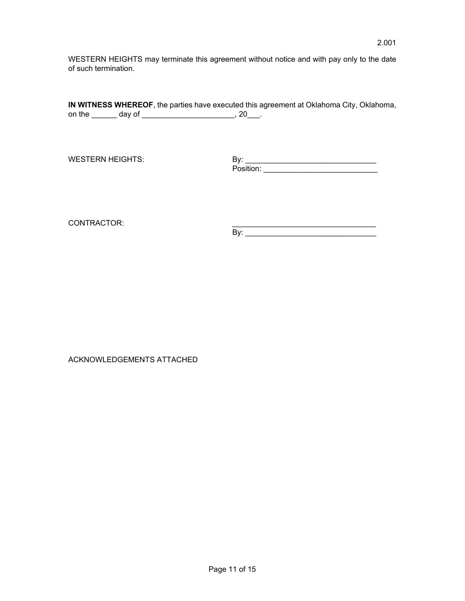WESTERN HEIGHTS may terminate this agreement without notice and with pay only to the date of such termination.

|        |        | IN WITNESS WHEREOF, the parties have executed this agreement at Oklahoma City, Oklahoma, |
|--------|--------|------------------------------------------------------------------------------------------|
| on the | dav of |                                                                                          |

WESTERN HEIGHTS: By: \_\_\_\_\_\_\_\_\_\_\_\_\_\_\_\_\_\_\_\_\_\_\_\_\_\_\_\_\_\_\_ Position: \_\_\_\_\_\_\_\_\_\_\_\_\_\_\_\_\_\_\_\_\_\_\_\_\_\_\_

CONTRACTOR: \_\_\_\_\_\_\_\_\_\_\_\_\_\_\_\_\_\_\_\_\_\_\_\_\_\_\_\_\_\_\_\_\_\_

 $\mathsf{By:}$  . The set of the set of the set of the set of the set of the set of the set of the set of the set of the set of the set of the set of the set of the set of the set of the set of the set of the set of the set of

ACKNOWLEDGEMENTS ATTACHED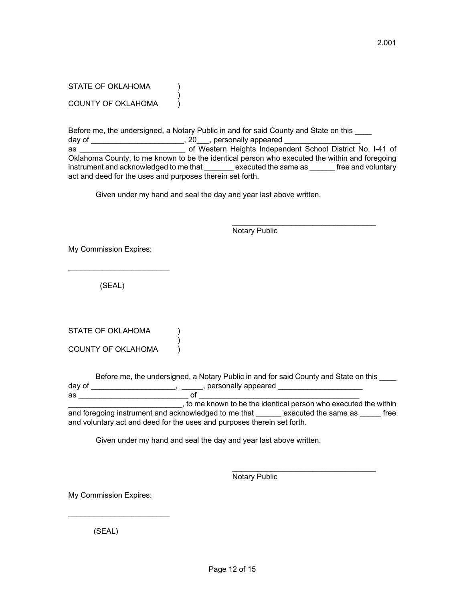STATE OF OKLAHOMA (1)  $)$ COUNTY OF OKLAHOMA )

Before me, the undersigned, a Notary Public in and for said County and State on this day of  $\hskip1cm \Box$  .  $\hskip1cm \Box$  .  $\hskip1cm \Box$  .  $\hskip1cm \Box$  .  $\hskip1cm \Box$  personally appeared  $\hskip1cm \Box$ as \_\_\_\_\_\_\_\_\_\_\_\_\_\_\_\_\_\_\_\_\_\_\_\_\_ of Western Heights Independent School District No. I-41 of Oklahoma County, to me known to be the identical person who executed the within and foregoing instrument and acknowledged to me that executed the same as free and voluntary act and deed for the uses and purposes therein set forth.

Given under my hand and seal the day and year last above written.

 $\mathcal{L}_\text{max}$  , and the set of the set of the set of the set of the set of the set of the set of the set of the set of the set of the set of the set of the set of the set of the set of the set of the set of the set of the

Notary Public

My Commission Expires:

(SEAL)

 $\mathcal{L}=\mathcal{L}=\mathcal{L}=\mathcal{L}=\mathcal{L}=\mathcal{L}=\mathcal{L}=\mathcal{L}=\mathcal{L}=\mathcal{L}=\mathcal{L}=\mathcal{L}=\mathcal{L}=\mathcal{L}=\mathcal{L}=\mathcal{L}=\mathcal{L}=\mathcal{L}=\mathcal{L}=\mathcal{L}=\mathcal{L}=\mathcal{L}=\mathcal{L}=\mathcal{L}=\mathcal{L}=\mathcal{L}=\mathcal{L}=\mathcal{L}=\mathcal{L}=\mathcal{L}=\mathcal{L}=\mathcal{L}=\mathcal{L}=\mathcal{L}=\mathcal{L}=\mathcal{L}=\mathcal{$ 

| STATE OF OKLAHOMA         |  |
|---------------------------|--|
|                           |  |
| <b>COUNTY OF OKLAHOMA</b> |  |

Before me, the undersigned, a Notary Public in and for said County and State on this \_\_\_\_ day of \_\_\_\_\_\_\_\_\_\_\_\_\_\_\_\_\_\_\_\_\_,  $\hskip 0.4cm \qquad \qquad$  , personally appeared  $\quad \text{as} \quad$ 

\_\_\_\_\_\_\_\_\_\_\_\_\_\_\_\_\_\_\_\_\_\_\_\_\_\_\_, to me known to be the identical person who executed the within and foregoing instrument and acknowledged to me that executed the same as executed the same as executed the same as and voluntary act and deed for the uses and purposes therein set forth.

Given under my hand and seal the day and year last above written.

 $\mathcal{L}_\text{max}$  , and the contract of the contract of the contract of the contract of the contract of the contract of the contract of the contract of the contract of the contract of the contract of the contract of the contr

Notary Public

My Commission Expires:

 $\mathcal{L}=\mathcal{L}=\mathcal{L}=\mathcal{L}=\mathcal{L}=\mathcal{L}=\mathcal{L}=\mathcal{L}=\mathcal{L}=\mathcal{L}=\mathcal{L}=\mathcal{L}=\mathcal{L}=\mathcal{L}=\mathcal{L}=\mathcal{L}=\mathcal{L}=\mathcal{L}=\mathcal{L}=\mathcal{L}=\mathcal{L}=\mathcal{L}=\mathcal{L}=\mathcal{L}=\mathcal{L}=\mathcal{L}=\mathcal{L}=\mathcal{L}=\mathcal{L}=\mathcal{L}=\mathcal{L}=\mathcal{L}=\mathcal{L}=\mathcal{L}=\mathcal{L}=\mathcal{L}=\mathcal{$ 

(SEAL)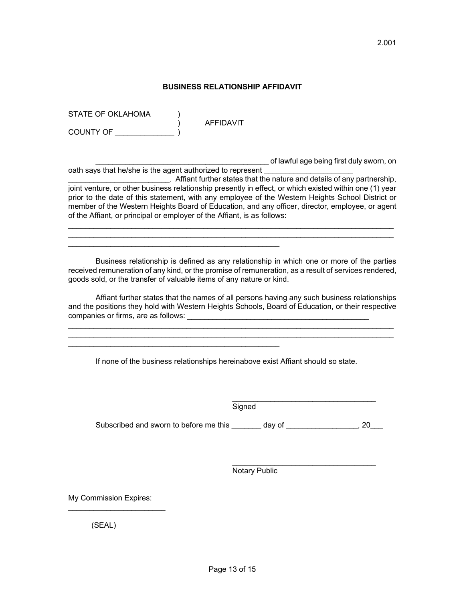## **BUSINESS RELATIONSHIP AFFIDAVIT**

STATE OF OKLAHOMA

COUNTY OF \_\_\_\_\_\_\_\_\_\_\_\_\_\_ )

) AFFIDAVIT

\_\_\_\_\_\_\_\_\_\_\_\_\_\_\_\_\_\_\_\_\_\_\_\_\_\_\_\_\_\_\_\_\_\_\_\_\_\_\_\_\_ of lawful age being first duly sworn, on

oath says that he/she is the agent authorized to represent \_\_\_\_\_\_\_\_\_\_\_\_\_\_\_\_\_\_\_\_\_\_\_\_. Affiant further states that the nature and details of any partnership, joint venture, or other business relationship presently in effect, or which existed within one (1) year prior to the date of this statement, with any employee of the Western Heights School District or member of the Western Heights Board of Education, and any officer, director, employee, or agent of the Affiant, or principal or employer of the Affiant, is as follows:

 $\mathcal{L}_\text{max}$  and  $\mathcal{L}_\text{max}$  and  $\mathcal{L}_\text{max}$  and  $\mathcal{L}_\text{max}$  and  $\mathcal{L}_\text{max}$  and  $\mathcal{L}_\text{max}$  $\mathcal{L}_\text{max}$  and  $\mathcal{L}_\text{max}$  and  $\mathcal{L}_\text{max}$  and  $\mathcal{L}_\text{max}$  and  $\mathcal{L}_\text{max}$  and  $\mathcal{L}_\text{max}$ 

 Business relationship is defined as any relationship in which one or more of the parties received remuneration of any kind, or the promise of remuneration, as a result of services rendered, goods sold, or the transfer of valuable items of any nature or kind.

 Affiant further states that the names of all persons having any such business relationships and the positions they hold with Western Heights Schools, Board of Education, or their respective companies or firms, are as follows:

 $\mathcal{L}_\text{max}$  and  $\mathcal{L}_\text{max}$  and  $\mathcal{L}_\text{max}$  and  $\mathcal{L}_\text{max}$  and  $\mathcal{L}_\text{max}$  and  $\mathcal{L}_\text{max}$  $\mathcal{L}_\text{max}$  and  $\mathcal{L}_\text{max}$  and  $\mathcal{L}_\text{max}$  and  $\mathcal{L}_\text{max}$  and  $\mathcal{L}_\text{max}$  and  $\mathcal{L}_\text{max}$ 

If none of the business relationships hereinabove exist Affiant should so state.

 $\mathcal{L}_\text{max} = \mathcal{L}_\text{max} = \mathcal{L}_\text{max} = \mathcal{L}_\text{max} = \mathcal{L}_\text{max} = \mathcal{L}_\text{max} = \mathcal{L}_\text{max} = \mathcal{L}_\text{max} = \mathcal{L}_\text{max} = \mathcal{L}_\text{max} = \mathcal{L}_\text{max} = \mathcal{L}_\text{max} = \mathcal{L}_\text{max} = \mathcal{L}_\text{max} = \mathcal{L}_\text{max} = \mathcal{L}_\text{max} = \mathcal{L}_\text{max} = \mathcal{L}_\text{max} = \mathcal{$ 

 $\mathcal{L}_\text{max}$  , and the contract of the contract of the contract of the contract of the contract of the contract of the contract of the contract of the contract of the contract of the contract of the contract of the contr **Signed** 

Subscribed and sworn to before me this \_\_\_\_\_\_\_ day of \_\_\_\_\_\_\_\_\_\_\_\_\_\_\_, 20\_\_\_

 $\mathcal{L}_\text{max}$  , and the contract of the contract of the contract of the contract of the contract of the contract of the contract of the contract of the contract of the contract of the contract of the contract of the contr

Notary Public

My Commission Expires:

 $\mathcal{L}_\text{max}$  , where  $\mathcal{L}_\text{max}$  and  $\mathcal{L}_\text{max}$ 

(SEAL)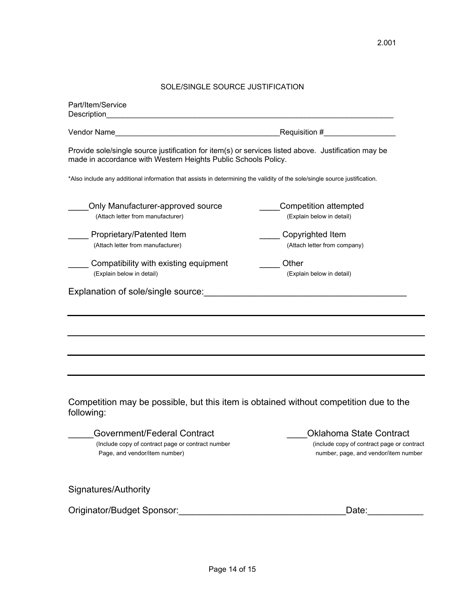# SOLE/SINGLE SOURCE JUSTIFICATION

| Part/Item/Service<br>Description                                                                                                                                      |                                                                                                                      |
|-----------------------------------------------------------------------------------------------------------------------------------------------------------------------|----------------------------------------------------------------------------------------------------------------------|
|                                                                                                                                                                       | Requisition #                                                                                                        |
| Provide sole/single source justification for item(s) or services listed above. Justification may be<br>made in accordance with Western Heights Public Schools Policy. |                                                                                                                      |
| *Also include any additional information that assists in determining the validity of the sole/single source justification.                                            |                                                                                                                      |
| Only Manufacturer-approved source<br>(Attach letter from manufacturer)                                                                                                | <b>Competition attempted</b><br>(Explain below in detail)                                                            |
| Proprietary/Patented Item<br>(Attach letter from manufacturer)                                                                                                        | Copyrighted Item<br>(Attach letter from company)                                                                     |
| Compatibility with existing equipment<br>(Explain below in detail)                                                                                                    | Other<br>(Explain below in detail)                                                                                   |
| Explanation of sole/single source:                                                                                                                                    | <u> 1989 - Johann John Stone, mars eta bainar eta industrial eta arteko errestan zen erroman zen erroman zen err</u> |
|                                                                                                                                                                       |                                                                                                                      |
|                                                                                                                                                                       |                                                                                                                      |
|                                                                                                                                                                       |                                                                                                                      |
| Competition may be possible, but this item is obtained without competition due to the<br>following:                                                                   |                                                                                                                      |
| Government/Federal Contract<br>(Include copy of contract page or contract number<br>Page, and vendor/item number)                                                     | <b>Oklahoma State Contract</b><br>(include copy of contract page or contract<br>number, page, and vendor/item number |
| Signatures/Authority                                                                                                                                                  |                                                                                                                      |